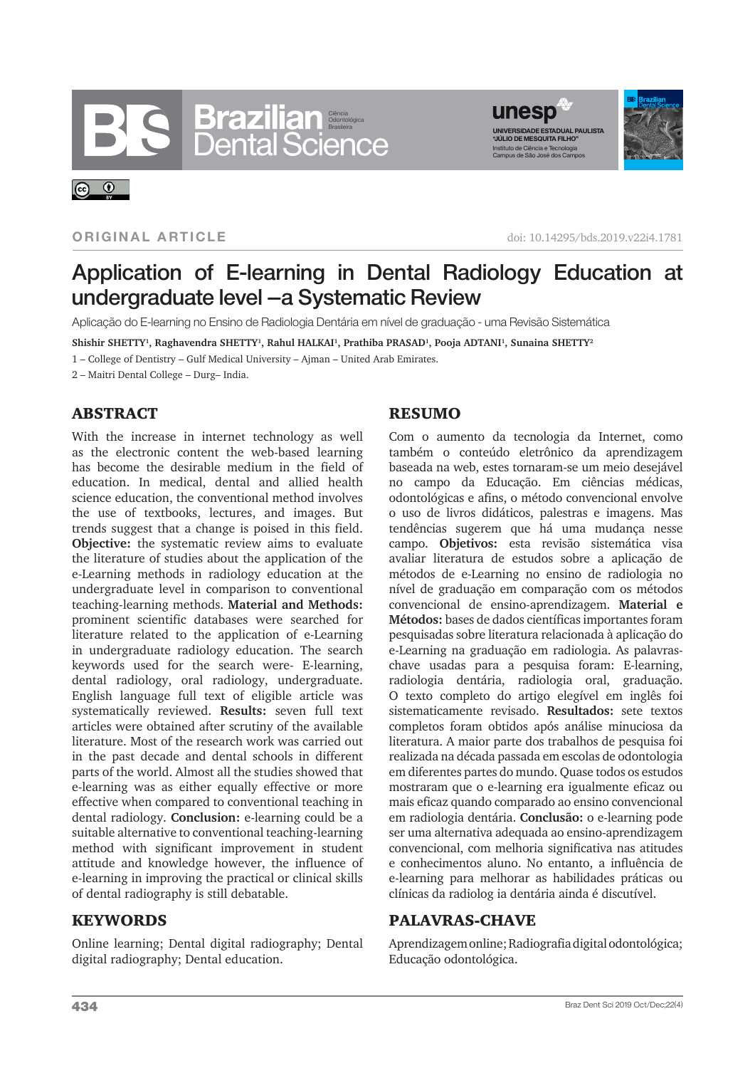# Ciência Odontológica Brasileira



#### **ORIGINAL ARTICLE**

 $\odot$   $\odot$ 

doi: 10.14295/bds.2019.v22i4.1781

# Application of E-learning in Dental Radiology Education at undergraduate level –a Systematic Review

Aplicação do E-learning no Ensino de Radiologia Dentária em nível de graduação - uma Revisão Sistemática

**Shishir SHETTY<sup>1</sup> , Raghavendra SHETTY<sup>1</sup> , Rahul HALKAI<sup>1</sup> , Prathiba PRASAD<sup>1</sup> , Pooja ADTANI<sup>1</sup> , Sunaina SHETTY<sup>2</sup>**

1 – College of Dentistry – Gulf Medical University – Ajman – United Arab Emirates.

2 – Maitri Dental College – Durg– India.

# **ABSTRACT**

With the increase in internet technology as well as the electronic content the web-based learning has become the desirable medium in the field of education. In medical, dental and allied health science education, the conventional method involves the use of textbooks, lectures, and images. But trends suggest that a change is poised in this field. **Objective:** the systematic review aims to evaluate the literature of studies about the application of the e-Learning methods in radiology education at the undergraduate level in comparison to conventional teaching-learning methods. **Material and Methods:**  prominent scientific databases were searched for literature related to the application of e-Learning in undergraduate radiology education. The search keywords used for the search were- E-learning, dental radiology, oral radiology, undergraduate. English language full text of eligible article was systematically reviewed. **Results:** seven full text articles were obtained after scrutiny of the available literature. Most of the research work was carried out in the past decade and dental schools in different parts of the world. Almost all the studies showed that e-learning was as either equally effective or more effective when compared to conventional teaching in dental radiology. **Conclusion:** e-learning could be a suitable alternative to conventional teaching-learning method with significant improvement in student attitude and knowledge however, the influence of e-learning in improving the practical or clinical skills of dental radiography is still debatable.

# KEYWORDS

Online learning; Dental digital radiography; Dental digital radiography; Dental education.

#### **RESUMO**

Com o aumento da tecnologia da Internet, como também o conteúdo eletrônico da aprendizagem baseada na web, estes tornaram-se um meio desejável no campo da Educação. Em ciências médicas, odontológicas e afins, o método convencional envolve o uso de livros didáticos, palestras e imagens. Mas tendências sugerem que há uma mudança nesse campo. **Objetivos:** esta revisão sistemática visa avaliar literatura de estudos sobre a aplicação de métodos de e-Learning no ensino de radiologia no nível de graduação em comparação com os métodos convencional de ensino-aprendizagem. **Material e Métodos:** bases de dados científicas importantes foram pesquisadas sobre literatura relacionada à aplicação do e-Learning na graduação em radiologia. As palavraschave usadas para a pesquisa foram: E-learning, radiologia dentária, radiologia oral, graduação. O texto completo do artigo elegível em inglês foi sistematicamente revisado. **Resultados:** sete textos completos foram obtidos após análise minuciosa da literatura. A maior parte dos trabalhos de pesquisa foi realizada na década passada em escolas de odontologia em diferentes partes do mundo. Quase todos os estudos mostraram que o e-learning era igualmente eficaz ou mais eficaz quando comparado ao ensino convencional em radiologia dentária. **Conclusão:** o e-learning pode ser uma alternativa adequada ao ensino-aprendizagem convencional, com melhoria significativa nas atitudes e conhecimentos aluno. No entanto, a influência de e-learning para melhorar as habilidades práticas ou clínicas da radiolog ia dentária ainda é discutível.

# PALAVRAS-CHAVE

Aprendizagem online; Radiografia digital odontológica; Educação odontológica.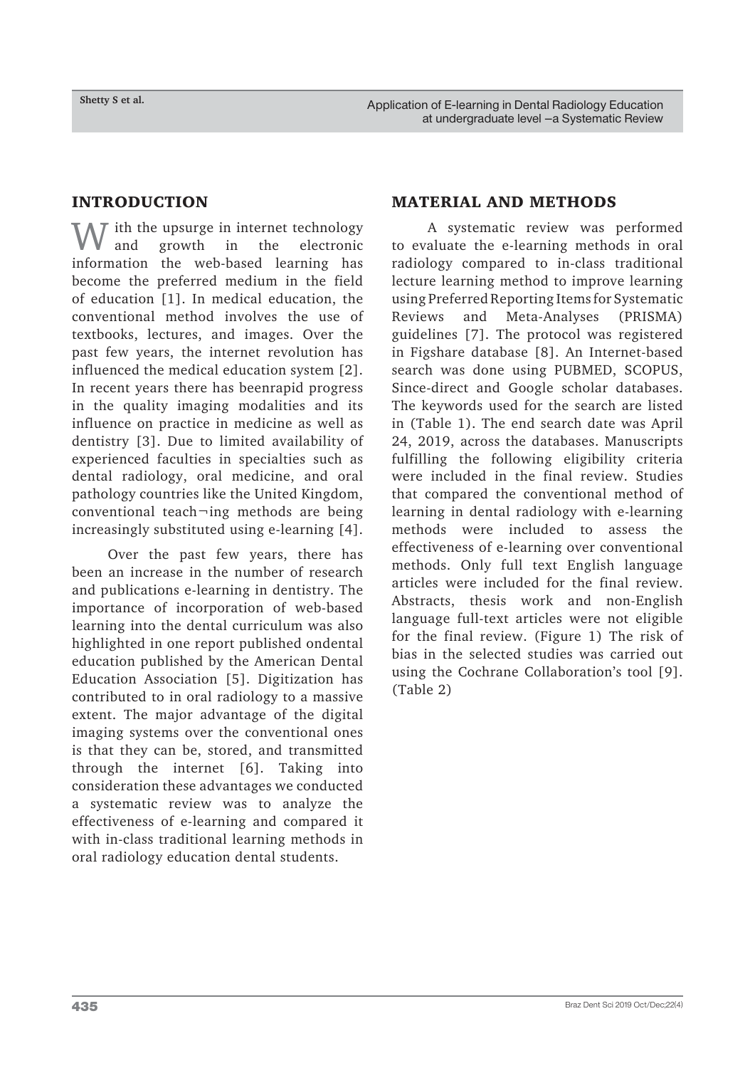# INTRODUCTION

 $\int$  ith the upsurge in internet technology<br>and growth in the electronic electronic information the web-based learning has become the preferred medium in the field of education [1]. In medical education, the conventional method involves the use of textbooks, lectures, and images. Over the past few years, the internet revolution has influenced the medical education system [2]. In recent years there has beenrapid progress in the quality imaging modalities and its influence on practice in medicine as well as dentistry [3]. Due to limited availability of experienced faculties in specialties such as dental radiology, oral medicine, and oral pathology countries like the United Kingdom, conventional teach¬ing methods are being increasingly substituted using e-learning [4].

Over the past few years, there has been an increase in the number of research and publications e-learning in dentistry. The importance of incorporation of web-based learning into the dental curriculum was also highlighted in one report published ondental education published by the American Dental Education Association [5]. Digitization has contributed to in oral radiology to a massive extent. The major advantage of the digital imaging systems over the conventional ones is that they can be, stored, and transmitted through the internet [6]. Taking into consideration these advantages we conducted a systematic review was to analyze the effectiveness of e-learning and compared it with in-class traditional learning methods in oral radiology education dental students.

# MATERIAL AND METHODS

A systematic review was performed to evaluate the e-learning methods in oral radiology compared to in-class traditional lecture learning method to improve learning using Preferred Reporting Items for Systematic Reviews and Meta-Analyses (PRISMA) guidelines [7]. The protocol was registered in Figshare database [8]. An Internet-based search was done using PUBMED, SCOPUS, Since-direct and Google scholar databases. The keywords used for the search are listed in (Table 1). The end search date was April 24, 2019, across the databases. Manuscripts fulfilling the following eligibility criteria were included in the final review. Studies that compared the conventional method of learning in dental radiology with e-learning methods were included to assess the effectiveness of e-learning over conventional methods. Only full text English language articles were included for the final review. Abstracts, thesis work and non-English language full-text articles were not eligible for the final review. (Figure 1) The risk of bias in the selected studies was carried out using the Cochrane Collaboration's tool [9]. (Table 2)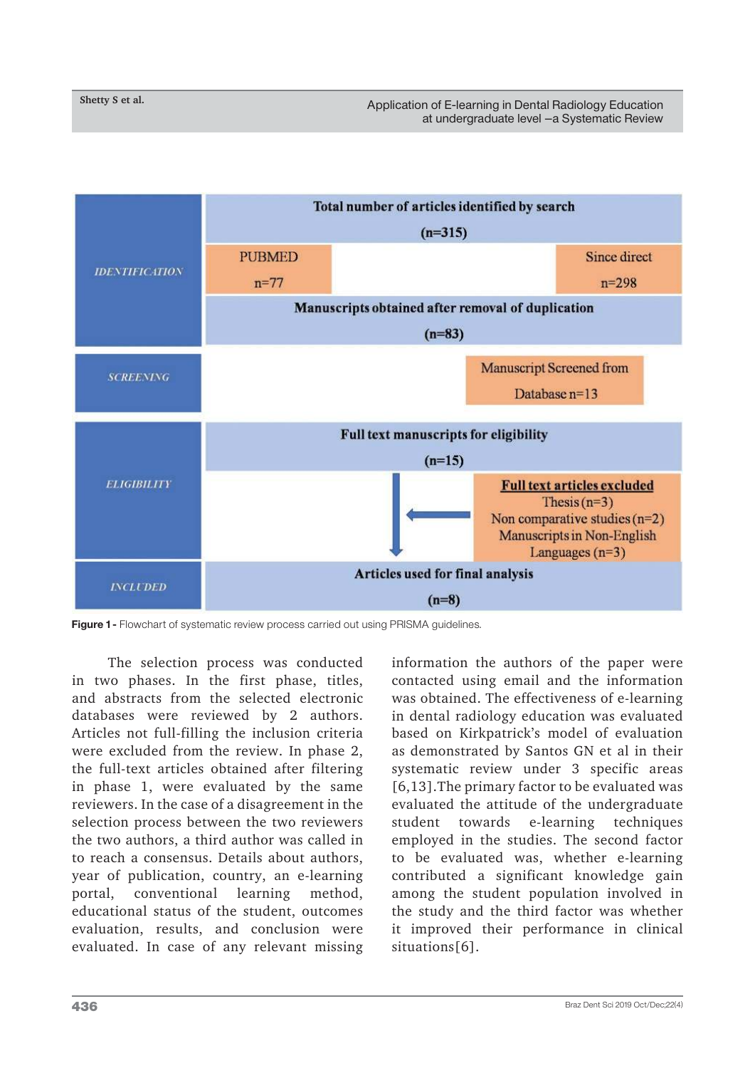

**Figure 1 -** Flowchart of systematic review process carried out using PRISMA guidelines.

The selection process was conducted in two phases. In the first phase, titles, and abstracts from the selected electronic databases were reviewed by 2 authors. Articles not full-filling the inclusion criteria were excluded from the review. In phase 2, the full-text articles obtained after filtering in phase 1, were evaluated by the same reviewers. In the case of a disagreement in the selection process between the two reviewers the two authors, a third author was called in to reach a consensus. Details about authors, year of publication, country, an e-learning portal, conventional learning method, educational status of the student, outcomes evaluation, results, and conclusion were evaluated. In case of any relevant missing information the authors of the paper were contacted using email and the information was obtained. The effectiveness of e-learning in dental radiology education was evaluated based on Kirkpatrick's model of evaluation as demonstrated by Santos GN et al in their systematic review under 3 specific areas [6,13].The primary factor to be evaluated was evaluated the attitude of the undergraduate student towards e-learning techniques employed in the studies. The second factor to be evaluated was, whether e-learning contributed a significant knowledge gain among the student population involved in the study and the third factor was whether it improved their performance in clinical situations[6].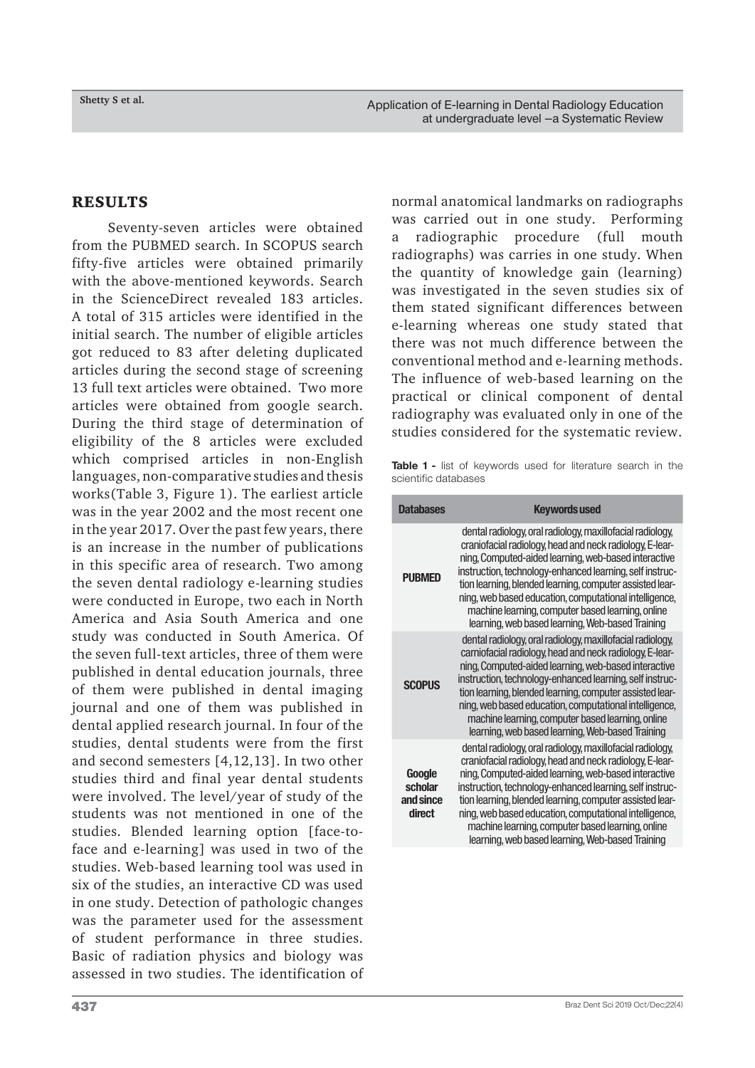#### RESULTS

Seventy-seven articles were obtained from the PUBMED search. In SCOPUS search fifty-five articles were obtained primarily with the above-mentioned keywords. Search in the ScienceDirect revealed 183 articles. A total of 315 articles were identified in the initial search. The number of eligible articles got reduced to 83 after deleting duplicated articles during the second stage of screening 13 full text articles were obtained. Two more articles were obtained from google search. During the third stage of determination of eligibility of the 8 articles were excluded which comprised articles in non-English languages, non-comparative studies and thesis works(Table 3, Figure 1). The earliest article was in the year 2002 and the most recent one in the year 2017. Over the past few years, there is an increase in the number of publications in this specific area of research. Two among the seven dental radiology e-learning studies were conducted in Europe, two each in North America and Asia South America and one study was conducted in South America. Of the seven full-text articles, three of them were published in dental education journals, three of them were published in dental imaging journal and one of them was published in dental applied research journal. In four of the studies, dental students were from the first and second semesters [4,12,13]. In two other studies third and final year dental students were involved. The level/year of study of the students was not mentioned in one of the studies. Blended learning option [face-toface and e-learning] was used in two of the studies. Web-based learning tool was used in six of the studies, an interactive CD was used in one study. Detection of pathologic changes was the parameter used for the assessment of student performance in three studies. Basic of radiation physics and biology was assessed in two studies. The identification of normal anatomical landmarks on radiographs was carried out in one study. Performing a radiographic procedure (full mouth radiographs) was carries in one study. When the quantity of knowledge gain (learning) was investigated in the seven studies six of them stated significant differences between e-learning whereas one study stated that there was not much difference between the conventional method and e-learning methods. The influence of web-based learning on the practical or clinical component of dental radiography was evaluated only in one of the studies considered for the systematic review.

**Table 1 -** list of keywords used for literature search in the scientific databases

| <b>Databases</b>                         | <b>Keywords used</b>                                                                                                                                                                                                                                                                                                                                                                                                                                                      |
|------------------------------------------|---------------------------------------------------------------------------------------------------------------------------------------------------------------------------------------------------------------------------------------------------------------------------------------------------------------------------------------------------------------------------------------------------------------------------------------------------------------------------|
| <b>PUBMED</b>                            | dental radiology, oral radiology, maxillofacial radiology,<br>craniofacial radiology, head and neck radiology, E-lear-<br>ning, Computed-aided learning, web-based interactive<br>instruction, technology-enhanced learning, self instruc-<br>tion learning, blended learning, computer assisted lear-<br>ning, web based education, computational intelligence,<br>machine learning, computer based learning, online<br>learning, web based learning, Web-based Training |
| <b>SCOPUS</b>                            | dental radiology, oral radiology, maxillofacial radiology,<br>carniofacial radiology, head and neck radiology, E-lear-<br>ning, Computed-aided learning, web-based interactive<br>instruction, technology-enhanced learning, self instruc-<br>tion learning, blended learning, computer assisted lear-<br>ning, web based education, computational intelligence,<br>machine learning, computer based learning, online<br>learning, web based learning, Web-based Training |
| Google<br>scholar<br>and since<br>direct | dental radiology, oral radiology, maxillofacial radiology,<br>craniofacial radiology, head and neck radiology, E-lear-<br>ning, Computed-aided learning, web-based interactive<br>instruction, technology-enhanced learning, self instruc-<br>tion learning, blended learning, computer assisted lear-<br>ning, web based education, computational intelligence,<br>machine learning, computer based learning, online<br>learning, web based learning, Web-based Training |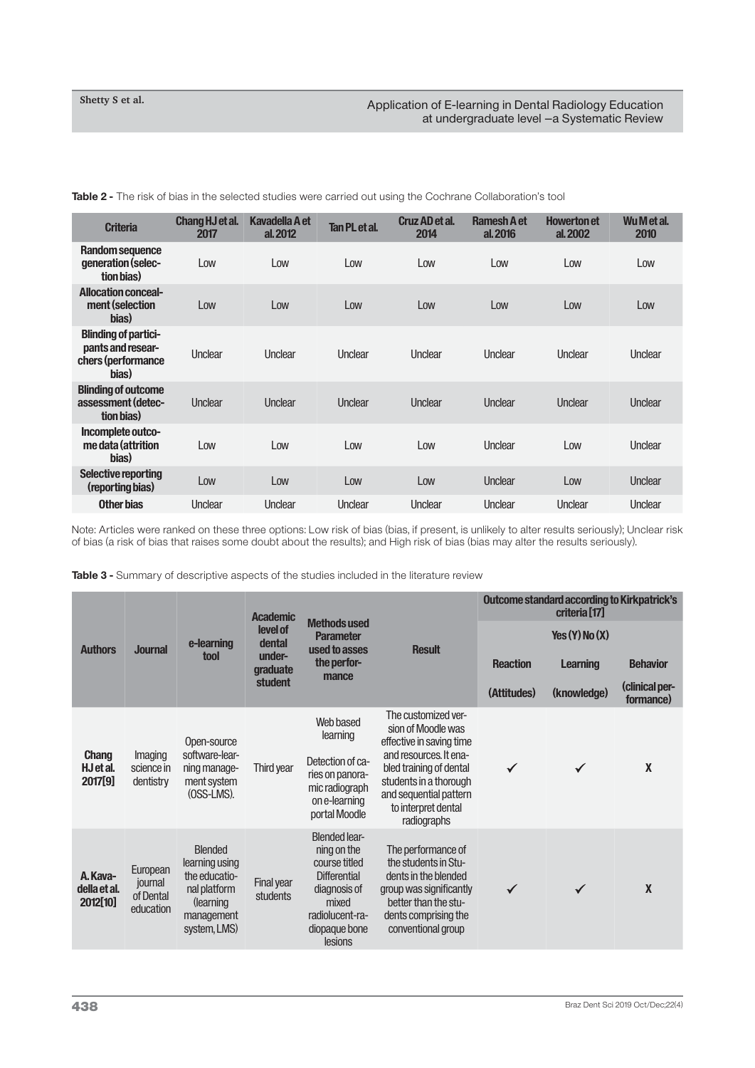**Table 2 -** The risk of bias in the selected studies were carried out using the Cochrane Collaboration's tool

| <b>Criteria</b>                                                                 | Chang HJ et al.<br>2017 | <b>Kavadella A et</b><br>al. 2012 | <b>Tan PL et al.</b> | Cruz AD et al.<br>2014 | <b>Ramesh A et</b><br>al. 2016 | <b>Howerton et</b><br>al. 2002 | Wu M et al.<br>2010 |
|---------------------------------------------------------------------------------|-------------------------|-----------------------------------|----------------------|------------------------|--------------------------------|--------------------------------|---------------------|
| Random sequence<br>generation (selec-<br>tion bias)                             | Low                     | Low                               | Low                  | Low                    | Low                            | Low                            | Low                 |
| <b>Allocation conceal-</b><br>ment (selection<br>bias)                          | Low                     | Low                               | Low                  | Low                    | Low                            | Low                            | Low                 |
| <b>Blinding of partici-</b><br>pants and resear-<br>chers (performance<br>bias) | Unclear                 | Unclear                           | Unclear              | Unclear                | Unclear                        | Unclear                        | Unclear             |
| <b>Blinding of outcome</b><br>assessment (detec-<br>tion bias)                  | Unclear                 | Unclear                           | Unclear              | Unclear                | Unclear                        | Unclear                        | Unclear             |
| Incomplete outco-<br>me data (attrition<br>bias)                                | Low                     | Low                               | Low                  | Low                    | Unclear                        | Low                            | Unclear             |
| <b>Selective reporting</b><br>(reporting bias)                                  | Low                     | Low                               | Low                  | Low                    | Unclear                        | Low                            | Unclear             |
| Other bias                                                                      | Unclear                 | Unclear                           | Unclear              | Unclear                | Unclear                        | Unclear                        | Unclear             |

Note: Articles were ranked on these three options: Low risk of bias (bias, if present, is unlikely to alter results seriously); Unclear risk of bias (a risk of bias that raises some doubt about the results); and High risk of bias (bias may alter the results seriously).

**Table 3 -** Summary of descriptive aspects of the studies included in the literature review

| <b>Authors</b>                       |                                               | e-learning<br>tool                                                                                           | <b>Academic</b><br>level of<br>dental<br>under-<br><b>graduate</b><br>student | <b>Methods used</b><br><b>Parameter</b><br>used to asses<br>the perfor-<br>mance                                                                    |                                                                                                                                                                     | <b>Outcome standard according to Kirkpatrick's</b><br>criteria <sup>[17]</sup> |                    |                             |
|--------------------------------------|-----------------------------------------------|--------------------------------------------------------------------------------------------------------------|-------------------------------------------------------------------------------|-----------------------------------------------------------------------------------------------------------------------------------------------------|---------------------------------------------------------------------------------------------------------------------------------------------------------------------|--------------------------------------------------------------------------------|--------------------|-----------------------------|
|                                      | <b>Journal</b>                                |                                                                                                              |                                                                               |                                                                                                                                                     | <b>Result</b>                                                                                                                                                       |                                                                                | Yes $(Y)$ No $(X)$ |                             |
|                                      |                                               |                                                                                                              |                                                                               |                                                                                                                                                     |                                                                                                                                                                     | <b>Reaction</b>                                                                | <b>Learning</b>    | <b>Behavior</b>             |
|                                      |                                               |                                                                                                              |                                                                               |                                                                                                                                                     |                                                                                                                                                                     | (Attitudes)                                                                    | (knowledge)        | (clinical per-<br>formance) |
| <b>Chang</b><br>HJ et al.<br>2017[9] |                                               | Open-source<br>software-lear-<br>ning manage-<br>ment system<br>$(OSS-LMS)$ .                                | Third year                                                                    | Web based<br>learning                                                                                                                               | The customized ver-<br>sion of Moodle was<br>effective in saving time                                                                                               |                                                                                |                    |                             |
|                                      | Imaging<br>science in<br>dentistry            |                                                                                                              |                                                                               | Detection of ca-<br>ries on panora-<br>mic radiograph<br>on e-learning<br>portal Moodle                                                             | and resources. It ena-<br>bled training of dental<br>students in a thorough<br>and sequential pattern<br>to interpret dental<br>radiographs                         | $\checkmark$                                                                   | $\checkmark$       | X                           |
| A. Kava-<br>della et al.<br>2012[10] | European<br>journal<br>of Dental<br>education | <b>Blended</b><br>learning using<br>the educatio-<br>nal platform<br>(learning<br>management<br>system, LMS) | <b>Final year</b><br>students                                                 | <b>Blended lear-</b><br>ning on the<br>course titled<br><b>Differential</b><br>diagnosis of<br>mixed<br>radiolucent-ra-<br>diopaque bone<br>lesions | The performance of<br>the students in Stu-<br>dents in the blended<br>group was significantly<br>better than the stu-<br>dents comprising the<br>conventional group | $\checkmark$                                                                   |                    | X                           |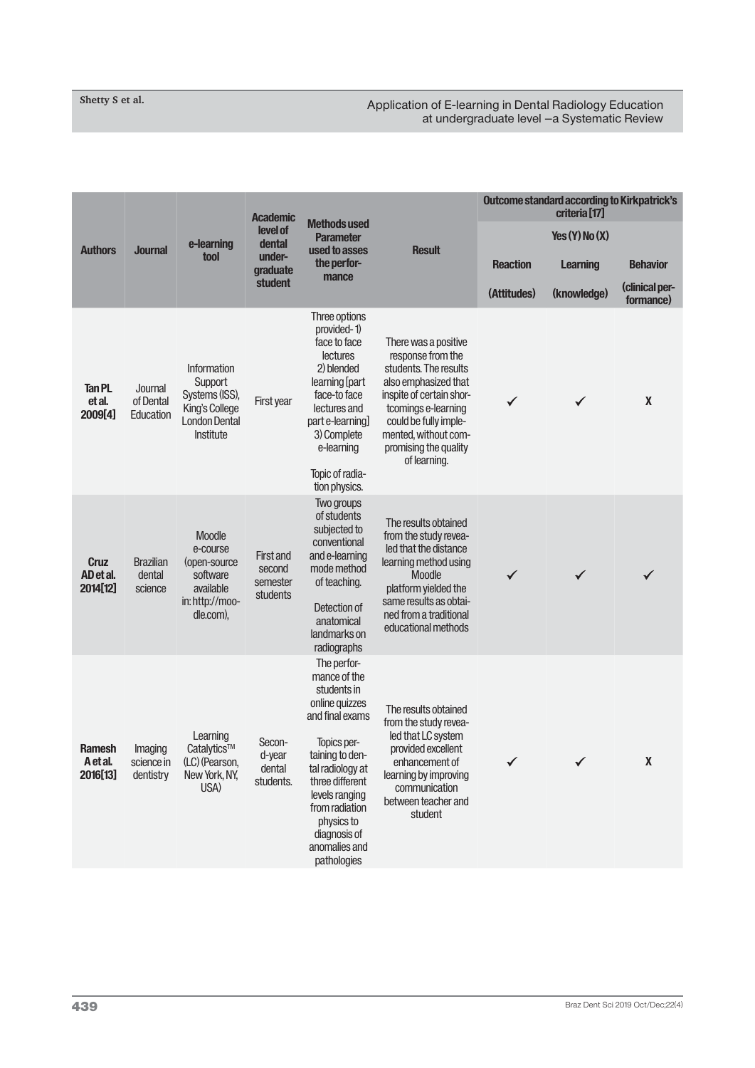#### Application of E-learning in Dental Radiology Education at undergraduate level –a Systematic Review

|                                       |                                       |                                                                                                 | <b>Academic</b><br>level of<br>dental<br>tool<br>under-<br>graduate | <b>Methods used</b><br><b>Parameter</b>                                                                                                                                                                                                                    |                                                                                                                                                                                                                                         | <b>Outcome standard according to Kirkpatrick's</b><br>criteria <sup>[17]</sup> |                    |                             |
|---------------------------------------|---------------------------------------|-------------------------------------------------------------------------------------------------|---------------------------------------------------------------------|------------------------------------------------------------------------------------------------------------------------------------------------------------------------------------------------------------------------------------------------------------|-----------------------------------------------------------------------------------------------------------------------------------------------------------------------------------------------------------------------------------------|--------------------------------------------------------------------------------|--------------------|-----------------------------|
|                                       |                                       | e-learning                                                                                      |                                                                     |                                                                                                                                                                                                                                                            |                                                                                                                                                                                                                                         |                                                                                | Yes $(Y)$ No $(X)$ |                             |
| <b>Authors</b>                        | <b>Journal</b>                        |                                                                                                 |                                                                     | used to asses<br>the perfor-                                                                                                                                                                                                                               | <b>Result</b>                                                                                                                                                                                                                           | <b>Reaction</b>                                                                | <b>Learning</b>    | <b>Behavior</b>             |
|                                       |                                       |                                                                                                 | student                                                             | mance                                                                                                                                                                                                                                                      |                                                                                                                                                                                                                                         | (Attitudes)                                                                    | (knowledge)        | (clinical per-<br>formance) |
| <b>Tan PL</b><br>et al.<br>2009[4]    | Journal<br>of Dental<br>Education     | Information<br>Support<br>Systems (ISS),<br>King's College<br><b>London Dental</b><br>Institute | First year                                                          | Three options<br>provided-1)<br>face to face<br><b>lectures</b><br>2) blended<br>learning [part<br>face-to face<br>lectures and<br>part e-learning]<br>3) Complete<br>e-learning                                                                           | There was a positive<br>response from the<br>students. The results<br>also emphasized that<br>inspite of certain shor-<br>tcomings e-learning<br>could be fully imple-<br>mented, without com-<br>promising the quality<br>of learning. | $\checkmark$                                                                   | $\checkmark$       | $\pmb{\mathsf{X}}$          |
|                                       |                                       |                                                                                                 |                                                                     | Topic of radia-<br>tion physics.                                                                                                                                                                                                                           |                                                                                                                                                                                                                                         |                                                                                |                    |                             |
| <b>Cruz</b><br>AD et al.<br>2014[12]  | <b>Brazilian</b><br>dental<br>science | Moodle<br>e-course<br>(open-source<br>software<br>available<br>in: http://moo-<br>dle.com),     | <b>First and</b><br>second<br>semester<br>students                  | Two groups<br>of students<br>subjected to<br>conventional<br>and e-learning<br>mode method<br>of teaching.<br>Detection of<br>anatomical<br>landmarks on<br>radiographs                                                                                    | The results obtained<br>from the study revea-<br>led that the distance<br>learning method using<br>Moodle<br>platform yielded the<br>same results as obtai-<br>ned from a traditional<br>educational methods                            | ✓                                                                              |                    |                             |
| <b>Ramesh</b><br>A et al.<br>2016[13] | Imaging<br>science in<br>dentistry    | Learning<br>Catalytics™<br>(LC) (Pearson,<br>New York, NY,<br>USA)                              | Secon-<br>d-year<br>dental<br>students.                             | The perfor-<br>mance of the<br>students in<br>online quizzes<br>and final exams<br>Topics per-<br>taining to den-<br>tal radiology at<br>three different<br>levels ranging<br>from radiation<br>physics to<br>diagnosis of<br>anomalies and<br>pathologies | The results obtained<br>from the study revea-<br>led that LC system<br>provided excellent<br>enhancement of<br>learning by improving<br>communication<br>between teacher and<br>student                                                 |                                                                                | $\checkmark$       | $\pmb{\mathsf{X}}$          |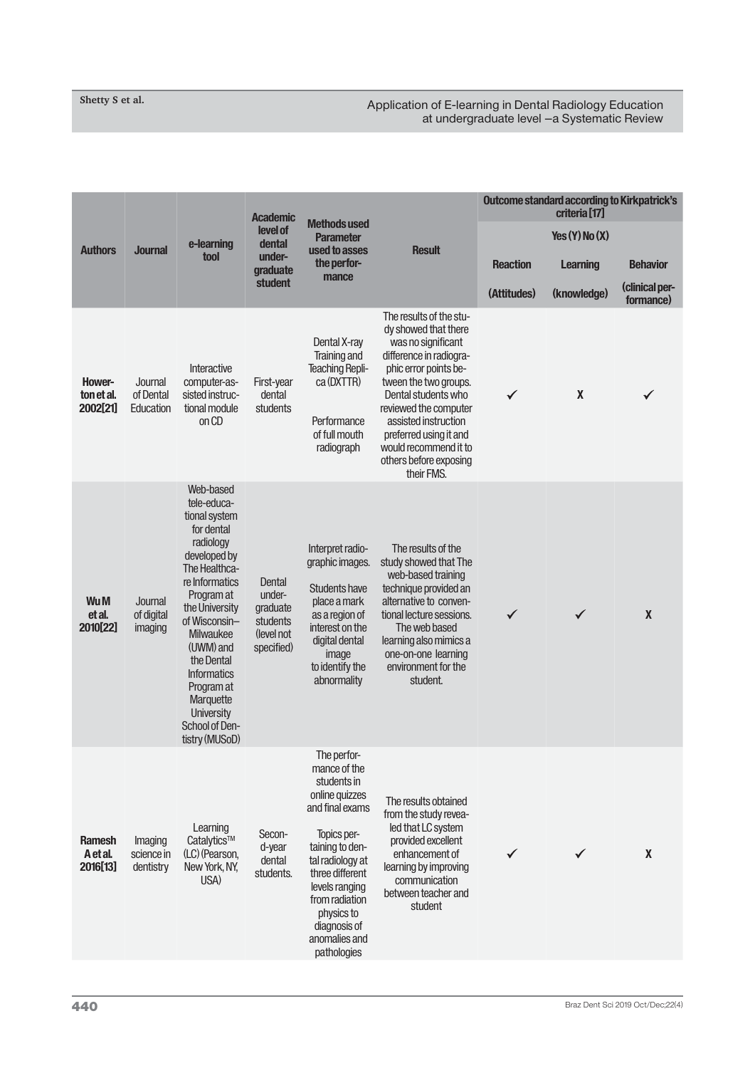#### Application of E-learning in Dental Radiology Education at undergraduate level –a Systematic Review

|                                       |                                    | e-learning                                                                                                                                                                                                                                                                                                                        | <b>Academic</b><br>level of<br>dental<br>under-<br>graduate          | <b>Methods used</b><br><b>Parameter</b><br>used to asses<br>the perfor-<br>mance                                                                                                                                                                           | <b>Result</b>                                                                                                                                                                                                                                                                                                         |                 | <b>Outcome standard according to Kirkpatrick's</b><br>criteria <sup>[17]</sup> |                             |
|---------------------------------------|------------------------------------|-----------------------------------------------------------------------------------------------------------------------------------------------------------------------------------------------------------------------------------------------------------------------------------------------------------------------------------|----------------------------------------------------------------------|------------------------------------------------------------------------------------------------------------------------------------------------------------------------------------------------------------------------------------------------------------|-----------------------------------------------------------------------------------------------------------------------------------------------------------------------------------------------------------------------------------------------------------------------------------------------------------------------|-----------------|--------------------------------------------------------------------------------|-----------------------------|
| <b>Authors</b>                        | <b>Journal</b>                     |                                                                                                                                                                                                                                                                                                                                   |                                                                      |                                                                                                                                                                                                                                                            |                                                                                                                                                                                                                                                                                                                       |                 | Yes(Y)No(X)                                                                    |                             |
|                                       |                                    | tool                                                                                                                                                                                                                                                                                                                              |                                                                      |                                                                                                                                                                                                                                                            |                                                                                                                                                                                                                                                                                                                       | <b>Reaction</b> | <b>Learning</b>                                                                | <b>Behavior</b>             |
|                                       |                                    |                                                                                                                                                                                                                                                                                                                                   | student                                                              |                                                                                                                                                                                                                                                            |                                                                                                                                                                                                                                                                                                                       | (Attitudes)     | (knowledge)                                                                    | (clinical per-<br>formance) |
| Hower-<br>ton et al.<br>2002[21]      | Journal<br>of Dental<br>Education  | Interactive<br>computer-as-<br>sisted instruc-<br>tional module<br>on CD                                                                                                                                                                                                                                                          | First-year<br>dental<br>students                                     | Dental X-ray<br>Training and<br><b>Teaching Repli-</b><br>ca (DXTTR)<br>Performance<br>of full mouth<br>radiograph                                                                                                                                         | The results of the stu-<br>dy showed that there<br>was no significant<br>difference in radiogra-<br>phic error points be-<br>tween the two groups.<br>Dental students who<br>reviewed the computer<br>assisted instruction<br>preferred using it and<br>would recommend it to<br>others before exposing<br>their FMS. | ✓               | $\pmb{\mathsf{X}}$                                                             |                             |
| Wu M<br>et al.<br>2010[22]            | Journal<br>of digital<br>imaging   | Web-based<br>tele-educa-<br>tional system<br>for dental<br>radiology<br>developed by<br>The Healthca-<br>re Informatics<br>Program at<br>the University<br>of Wisconsin-<br><b>Milwaukee</b><br>(UWM) and<br>the Dental<br><b>Informatics</b><br>Program at<br>Marquette<br><b>University</b><br>School of Den-<br>tistry (MUSoD) | Dental<br>under-<br>graduate<br>students<br>(level not<br>specified) | Interpret radio-<br>graphic images.<br><b>Students have</b><br>place a mark<br>as a region of<br>interest on the<br>digital dental<br>image<br>to identify the<br>abnormality                                                                              | The results of the<br>study showed that The<br>web-based training<br>technique provided an<br>alternative to conven-<br>tional lecture sessions.<br>The web based<br>learning also mimics a<br>one-on-one learning<br>environment for the<br>student.                                                                 | $\checkmark$    | $\checkmark$                                                                   | $\pmb{\chi}$                |
| <b>Ramesh</b><br>A et al.<br>2016[13] | Imaging<br>science in<br>dentistry | Learning<br>Catalytics™<br>(LC) (Pearson,<br>New York, NY,<br>USA)                                                                                                                                                                                                                                                                | Secon-<br>d-year<br>dental<br>students.                              | The perfor-<br>mance of the<br>students in<br>online quizzes<br>and final exams<br>Topics per-<br>taining to den-<br>tal radiology at<br>three different<br>levels ranging<br>from radiation<br>physics to<br>diagnosis of<br>anomalies and<br>pathologies | The results obtained<br>from the study revea-<br>led that LC system<br>provided excellent<br>enhancement of<br>learning by improving<br>communication<br>between teacher and<br>student                                                                                                                               | $\checkmark$    |                                                                                | $\pmb{\mathsf{X}}$          |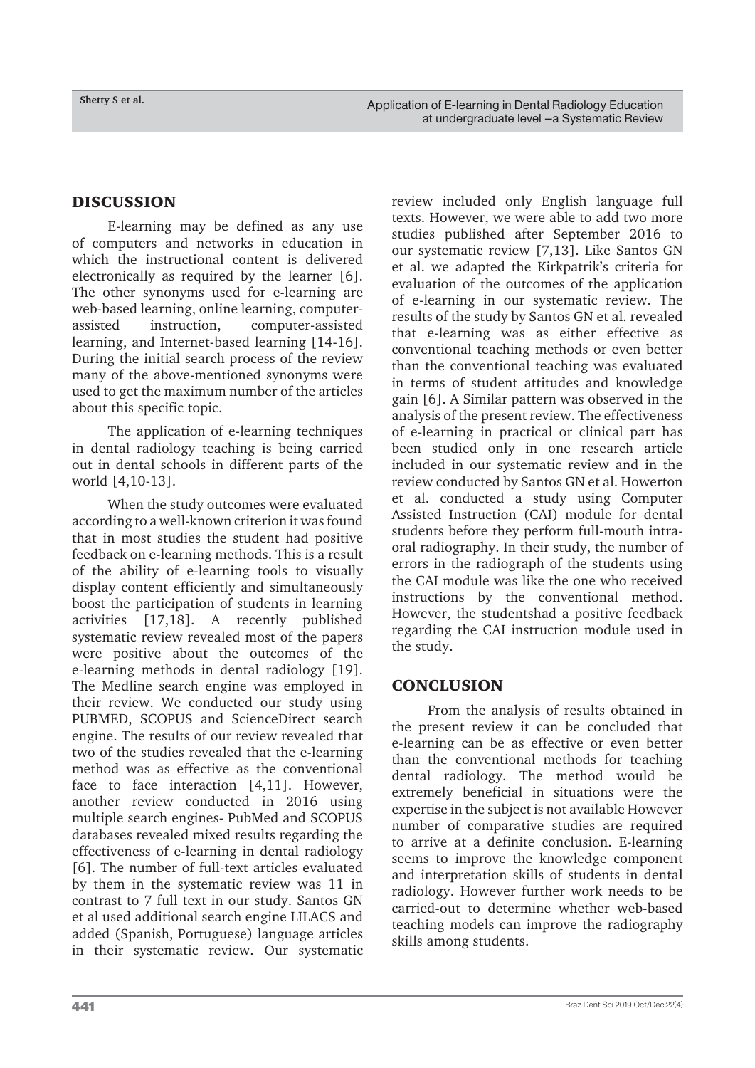#### DISCUSSION

E-learning may be defined as any use of computers and networks in education in which the instructional content is delivered electronically as required by the learner [6]. The other synonyms used for e-learning are web-based learning, online learning, computerassisted instruction, computer-assisted learning, and Internet-based learning [14-16]. During the initial search process of the review many of the above-mentioned synonyms were used to get the maximum number of the articles about this specific topic.

The application of e-learning techniques in dental radiology teaching is being carried out in dental schools in different parts of the world [4,10-13].

When the study outcomes were evaluated according to a well-known criterion it was found that in most studies the student had positive feedback on e-learning methods. This is a result of the ability of e-learning tools to visually display content efficiently and simultaneously boost the participation of students in learning activities [17,18]. A recently published systematic review revealed most of the papers were positive about the outcomes of the e-learning methods in dental radiology [19]. The Medline search engine was employed in their review. We conducted our study using PUBMED, SCOPUS and ScienceDirect search engine. The results of our review revealed that two of the studies revealed that the e-learning method was as effective as the conventional face to face interaction [4,11]. However, another review conducted in 2016 using multiple search engines- PubMed and SCOPUS databases revealed mixed results regarding the effectiveness of e-learning in dental radiology [6]. The number of full-text articles evaluated by them in the systematic review was 11 in contrast to 7 full text in our study. Santos GN et al used additional search engine LILACS and added (Spanish, Portuguese) language articles in their systematic review. Our systematic review included only English language full texts. However, we were able to add two more studies published after September 2016 to our systematic review [7,13]. Like Santos GN et al. we adapted the Kirkpatrik's criteria for evaluation of the outcomes of the application of e-learning in our systematic review. The results of the study by Santos GN et al. revealed that e-learning was as either effective as conventional teaching methods or even better than the conventional teaching was evaluated in terms of student attitudes and knowledge gain [6]. A Similar pattern was observed in the analysis of the present review. The effectiveness of e-learning in practical or clinical part has been studied only in one research article included in our systematic review and in the review conducted by Santos GN et al. Howerton et al. conducted a study using Computer Assisted Instruction (CAI) module for dental students before they perform full-mouth intraoral radiography. In their study, the number of errors in the radiograph of the students using the CAI module was like the one who received instructions by the conventional method. However, the studentshad a positive feedback regarding the CAI instruction module used in the study.

# **CONCLUSION**

From the analysis of results obtained in the present review it can be concluded that e-learning can be as effective or even better than the conventional methods for teaching dental radiology. The method would be extremely beneficial in situations were the expertise in the subject is not available However number of comparative studies are required to arrive at a definite conclusion. E-learning seems to improve the knowledge component and interpretation skills of students in dental radiology. However further work needs to be carried-out to determine whether web-based teaching models can improve the radiography skills among students.